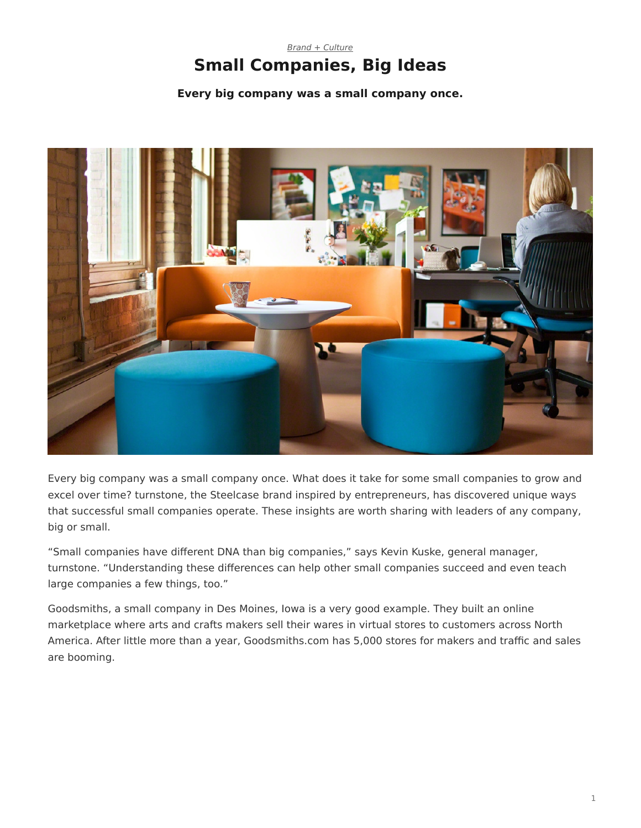### <span id="page-0-0"></span>*[Brand + Culture](https://www.steelcase.com/research/topics/brand-culture/)* **Small Companies, Big Ideas**

#### **Every big company was a small company once.**



Every big company was a small company once. What does it take for some small companies to grow and excel over time? turnstone, the Steelcase brand inspired by entrepreneurs, has discovered unique ways that successful small companies operate. These insights are worth sharing with leaders of any company, big or small.

"Small companies have different DNA than big companies," says Kevin Kuske, general manager, turnstone. "Understanding these differences can help other small companies succeed and even teach large companies a few things, too."

Goodsmiths, a small company in Des Moines, Iowa is a very good example. They built an online marketplace where arts and crafts makers sell their wares in virtual stores to customers across North America. After little more than a year, Goodsmiths.com has 5,000 stores for makers and traffic and sales are booming.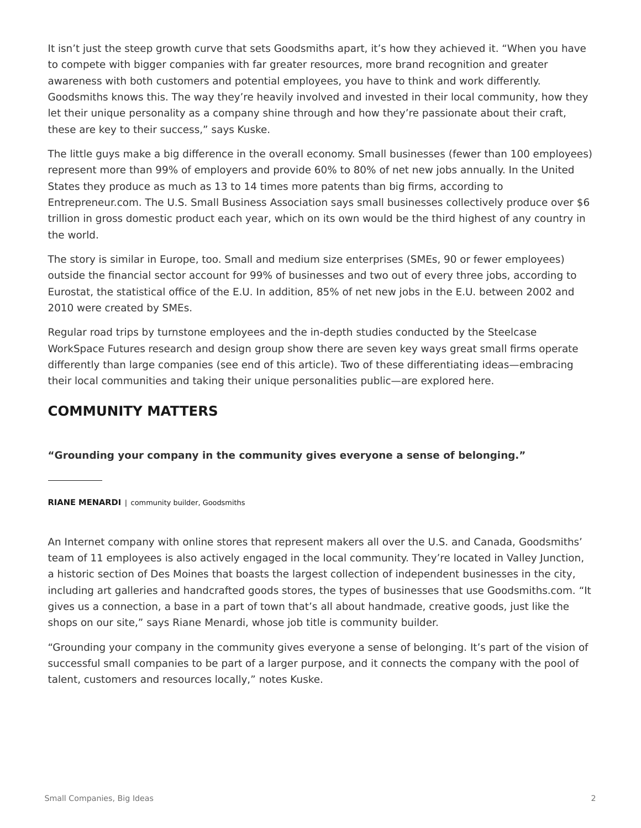It isn't just the steep growth curve that sets Goodsmiths apart, it's how they achieved it. "When you have to compete with bigger companies with far greater resources, more brand recognition and greater awareness with both customers and potential employees, you have to think and work differently. Goodsmiths knows this. The way they're heavily involved and invested in their local community, how they let their unique personality as a company shine through and how they're passionate about their craft, these are key to their success," says Kuske.

The little guys make a big difference in the overall economy. Small businesses (fewer than 100 employees) represent more than 99% of employers and provide 60% to 80% of net new jobs annually. In the United States they produce as much as 13 to 14 times more patents than big firms, according to Entrepreneur.com. The U.S. Small Business Association says small businesses collectively produce over \$6 trillion in gross domestic product each year, which on its own would be the third highest of any country in the world.

The story is similar in Europe, too. Small and medium size enterprises (SMEs, 90 or fewer employees) outside the financial sector account for 99% of businesses and two out of every three jobs, according to Eurostat, the statistical office of the E.U. In addition, 85% of net new jobs in the E.U. between 2002 and 2010 were created by SMEs.

Regular road trips by turnstone employees and the in-depth studies conducted by the Steelcase WorkSpace Futures research and design group show there are seven key ways great small firms operate differently than large companies (see end of this article). Two of these differentiating ideas—embracing their local communities and taking their unique personalities public—are explored here.

## **COMMUNITY MATTERS**

**"Grounding your company in the community gives everyone a sense of belonging."**

**RIANE MENARDI** | community builder, Goodsmiths

An Internet company with online stores that represent makers all over the U.S. and Canada, Goodsmiths' team of 11 employees is also actively engaged in the local community. They're located in Valley Junction, a historic section of Des Moines that boasts the largest collection of independent businesses in the city, including art galleries and handcrafted goods stores, the types of businesses that use Goodsmiths.com. "It gives us a connection, a base in a part of town that's all about handmade, creative goods, just like the shops on our site," says Riane Menardi, whose job title is community builder.

"Grounding your company in the community gives everyone a sense of belonging. It's part of the vision of successful small companies to be part of a larger purpose, and it connects the company with the pool of talent, customers and resources locally," notes Kuske.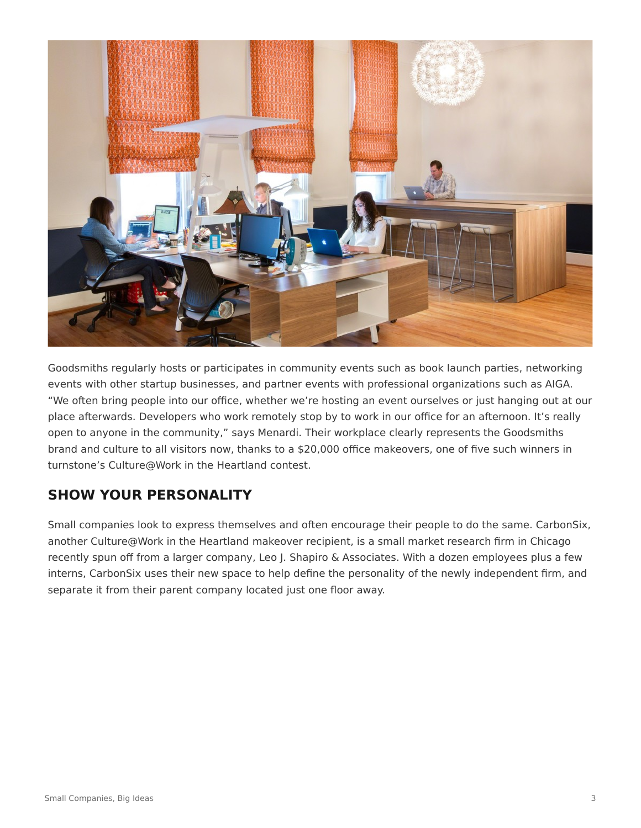

Goodsmiths regularly hosts or participates in community events such as book launch parties, networking events with other startup businesses, and partner events with professional organizations such as AIGA. "We often bring people into our office, whether we're hosting an event ourselves or just hanging out at our place afterwards. Developers who work remotely stop by to work in our office for an afternoon. It's really open to anyone in the community," says Menardi. Their workplace clearly represents the Goodsmiths brand and culture to all visitors now, thanks to a \$20,000 office makeovers, one of five such winners in turnstone's Culture@Work in the Heartland contest.

# **SHOW YOUR PERSONALITY**

Small companies look to express themselves and often encourage their people to do the same. CarbonSix, another Culture@Work in the Heartland makeover recipient, is a small market research firm in Chicago recently spun off from a larger company, Leo J. Shapiro & Associates. With a dozen employees plus a few interns, CarbonSix uses their new space to help define the personality of the newly independent firm, and separate it from their parent company located just one floor away.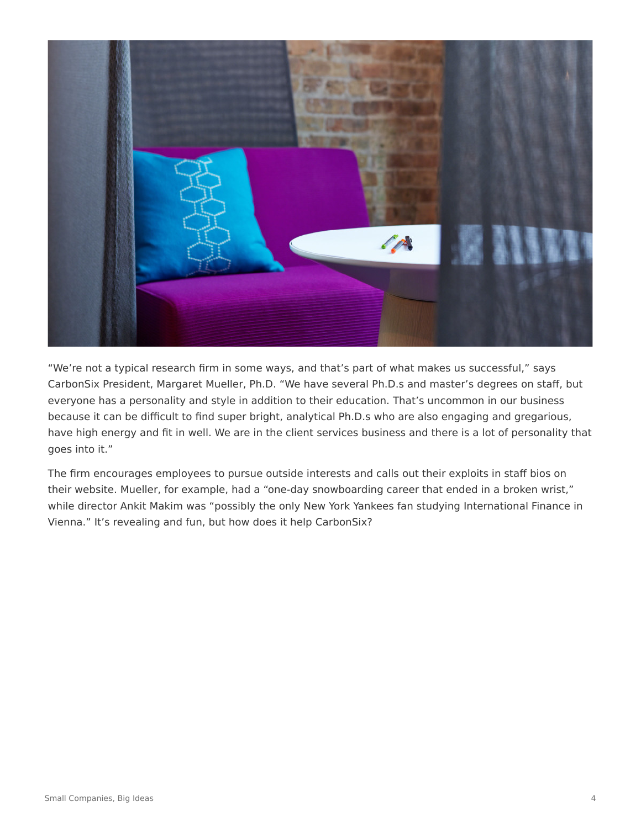

"We're not a typical research firm in some ways, and that's part of what makes us successful," says CarbonSix President, Margaret Mueller, Ph.D. "We have several Ph.D.s and master's degrees on staff, but everyone has a personality and style in addition to their education. That's uncommon in our business because it can be difficult to find super bright, analytical Ph.D.s who are also engaging and gregarious, have high energy and fit in well. We are in the client services business and there is a lot of personality that goes into it."

The firm encourages employees to pursue outside interests and calls out their exploits in staff bios on their website. Mueller, for example, had a "one-day snowboarding career that ended in a broken wrist," while director Ankit Makim was "possibly the only New York Yankees fan studying International Finance in Vienna." It's revealing and fun, but how does it help CarbonSix?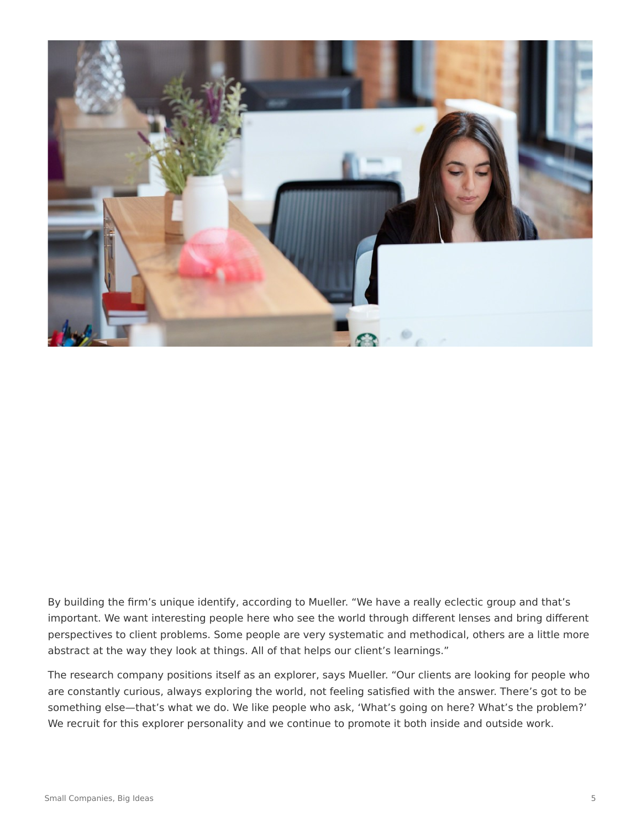

By building the firm's unique identify, according to Mueller. "We have a really eclectic group and that's important. We want interesting people here who see the world through different lenses and bring different perspectives to client problems. Some people are very systematic and methodical, others are a little more abstract at the way they look at things. All of that helps our client's learnings."

The research company positions itself as an explorer, says Mueller. "Our clients are looking for people who are constantly curious, always exploring the world, not feeling satisfied with the answer. There's got to be something else—that's what we do. We like people who ask, 'What's going on here? What's the problem?' We recruit for this explorer personality and we continue to promote it both inside and outside work.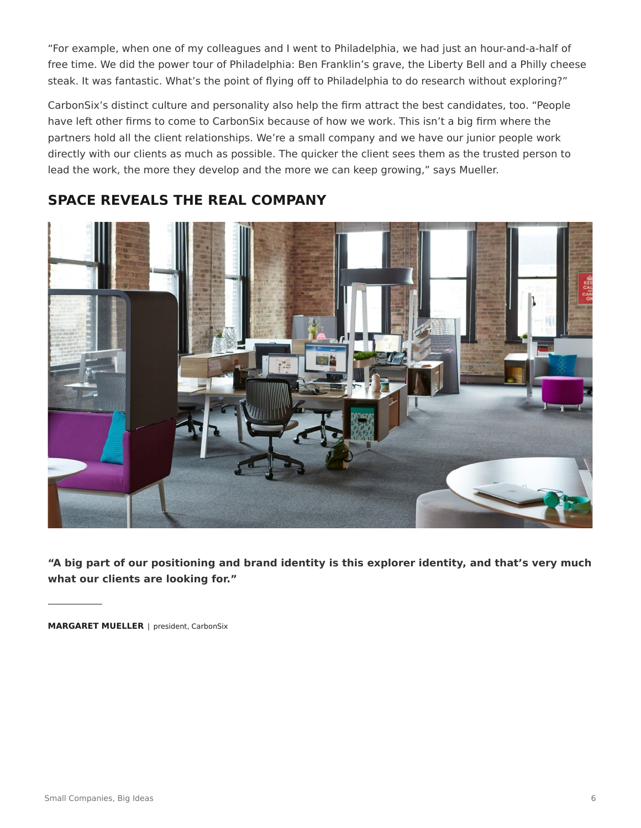"For example, when one of my colleagues and I went to Philadelphia, we had just an hour-and-a-half of free time. We did the power tour of Philadelphia: Ben Franklin's grave, the Liberty Bell and a Philly cheese steak. It was fantastic. What's the point of flying off to Philadelphia to do research without exploring?"

CarbonSix's distinct culture and personality also help the firm attract the best candidates, too. "People have left other firms to come to CarbonSix because of how we work. This isn't a big firm where the partners hold all the client relationships. We're a small company and we have our junior people work directly with our clients as much as possible. The quicker the client sees them as the trusted person to lead the work, the more they develop and the more we can keep growing," says Mueller.



## **SPACE REVEALS THE REAL COMPANY**

**"A big part of our positioning and brand identity is this explorer identity, and that's very much what our clients are looking for."**

**MARGARET MUELLER** | president, CarbonSix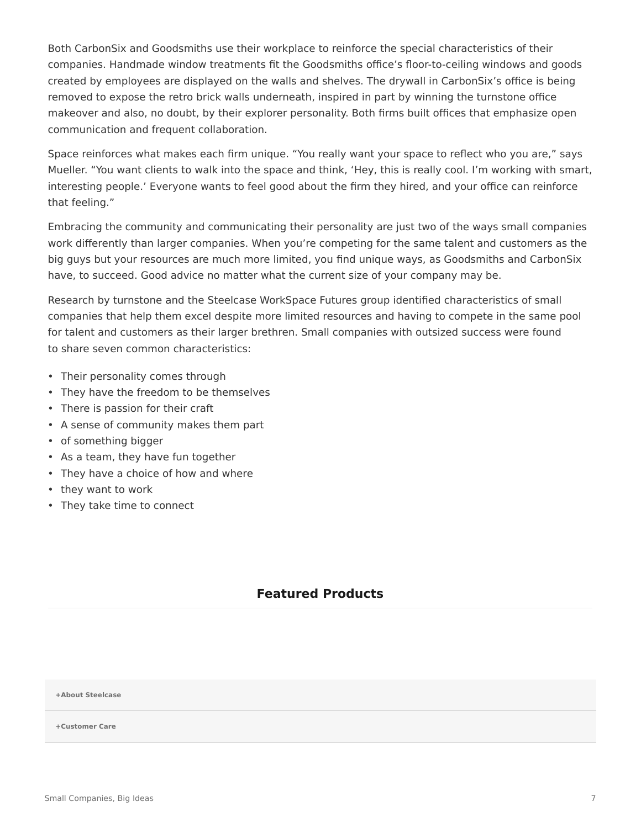Both CarbonSix and Goodsmiths use their workplace to reinforce the special characteristics of their companies. Handmade window treatments fit the Goodsmiths office's floor-to-ceiling windows and goods created by employees are displayed on the walls and shelves. The drywall in CarbonSix's office is being removed to expose the retro brick walls underneath, inspired in part by winning the turnstone office makeover and also, no doubt, by their explorer personality. Both firms built offices that emphasize open communication and frequent collaboration.

Space reinforces what makes each firm unique. "You really want your space to reflect who you are," says Mueller. "You want clients to walk into the space and think, 'Hey, this is really cool. I'm working with smart, interesting people.' Everyone wants to feel good about the firm they hired, and your office can reinforce that feeling."

Embracing the community and communicating their personality are just two of the ways small companies work differently than larger companies. When you're competing for the same talent and customers as the big guys but your resources are much more limited, you find unique ways, as Goodsmiths and CarbonSix have, to succeed. Good advice no matter what the current size of your company may be.

Research by turnstone and the Steelcase WorkSpace Futures group identified characteristics of small companies that help them excel despite more limited resources and having to compete in the same pool for talent and customers as their larger brethren. Small companies with outsized success were found to share seven common characteristics:

- Their personality comes through
- They have the freedom to be themselves
- There is passion for their craft
- A sense of community makes them part
- of something bigger
- As a team, they have fun together
- They have a choice of how and where
- they want to work
- They take time to connect

#### **Featured Products**

**[+About Steelcase](https://www.steelcase.com/discover/steelcase/our-company/)**

**[+Customer Care](#page-0-0)**